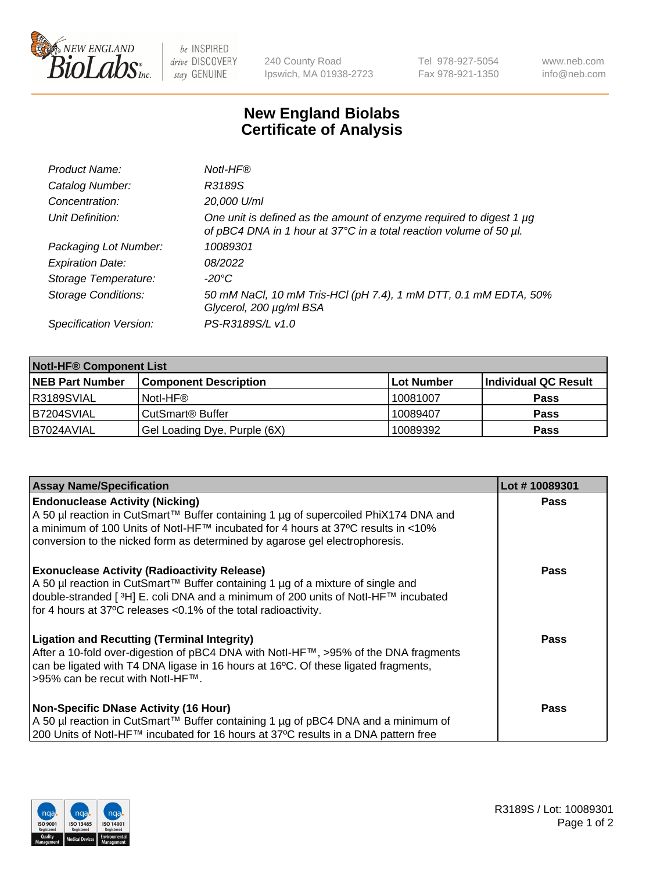

 $be$  INSPIRED drive DISCOVERY stay GENUINE

240 County Road Ipswich, MA 01938-2723 Tel 978-927-5054 Fax 978-921-1350 www.neb.com info@neb.com

## **New England Biolabs Certificate of Analysis**

| Product Name:              | Notl-HF®                                                                                                                                  |
|----------------------------|-------------------------------------------------------------------------------------------------------------------------------------------|
| Catalog Number:            | R3189S                                                                                                                                    |
| Concentration:             | 20,000 U/ml                                                                                                                               |
| Unit Definition:           | One unit is defined as the amount of enzyme required to digest 1 µg<br>of pBC4 DNA in 1 hour at 37°C in a total reaction volume of 50 µl. |
| Packaging Lot Number:      | 10089301                                                                                                                                  |
| <b>Expiration Date:</b>    | 08/2022                                                                                                                                   |
| Storage Temperature:       | $-20^{\circ}$ C                                                                                                                           |
| <b>Storage Conditions:</b> | 50 mM NaCl, 10 mM Tris-HCl (pH 7.4), 1 mM DTT, 0.1 mM EDTA, 50%<br>Glycerol, 200 µg/ml BSA                                                |
| Specification Version:     | PS-R3189S/L v1.0                                                                                                                          |

| <b>Notl-HF® Component List</b> |                              |            |                      |  |  |
|--------------------------------|------------------------------|------------|----------------------|--|--|
| <b>NEB Part Number</b>         | <b>Component Description</b> | Lot Number | Individual QC Result |  |  |
| R3189SVIAL                     | Notl-HF®                     | 10081007   | <b>Pass</b>          |  |  |
| B7204SVIAL                     | CutSmart <sup>®</sup> Buffer | 10089407   | <b>Pass</b>          |  |  |
| B7024AVIAL                     | Gel Loading Dye, Purple (6X) | 10089392   | <b>Pass</b>          |  |  |

| <b>Assay Name/Specification</b>                                                                                                                                                                                                                                                                            | Lot #10089301 |
|------------------------------------------------------------------------------------------------------------------------------------------------------------------------------------------------------------------------------------------------------------------------------------------------------------|---------------|
| <b>Endonuclease Activity (Nicking)</b><br>  A 50 µl reaction in CutSmart™ Buffer containing 1 µg of supercoiled PhiX174 DNA and                                                                                                                                                                            | <b>Pass</b>   |
| a minimum of 100 Units of Notl-HF™ incubated for 4 hours at 37°C results in <10%<br>conversion to the nicked form as determined by agarose gel electrophoresis.                                                                                                                                            |               |
| <b>Exonuclease Activity (Radioactivity Release)</b><br>A 50 µl reaction in CutSmart™ Buffer containing 1 µg of a mixture of single and<br>double-stranded [ <sup>3</sup> H] E. coli DNA and a minimum of 200 units of Notl-HF™ incubated<br>for 4 hours at 37°C releases <0.1% of the total radioactivity. | <b>Pass</b>   |
| <b>Ligation and Recutting (Terminal Integrity)</b><br>After a 10-fold over-digestion of pBC4 DNA with Notl-HF™, >95% of the DNA fragments<br>can be ligated with T4 DNA ligase in 16 hours at 16 $\degree$ C. Of these ligated fragments,<br> >95% can be recut with NotI-HF™.                             | <b>Pass</b>   |
| Non-Specific DNase Activity (16 Hour)                                                                                                                                                                                                                                                                      | <b>Pass</b>   |
| A 50 µl reaction in CutSmart™ Buffer containing 1 µg of pBC4 DNA and a minimum of<br>200 Units of Notl-HF™ incubated for 16 hours at 37°C results in a DNA pattern free                                                                                                                                    |               |